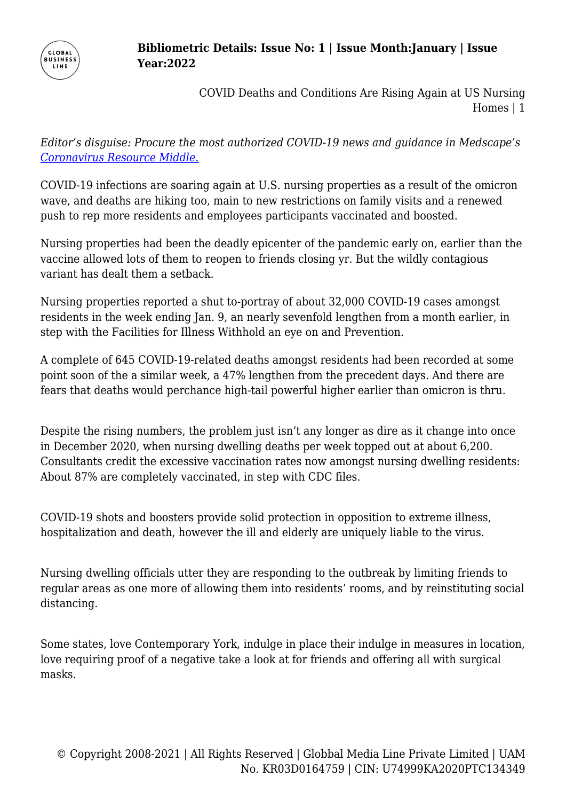

## **Bibliometric Details: Issue No: 1 | Issue Month:January | Issue Year:2022**

COVID Deaths and Conditions Are Rising Again at US Nursing Homes | 1

*Editor's disguise: Procure the most authorized COVID-19 news and guidance in Medscape's [Coronavirus Resource Middle.](https://www.medscape.com/resource/coronavirus)*

COVID-19 infections are soaring again at U.S. nursing properties as a result of the omicron wave, and deaths are hiking too, main to new restrictions on family visits and a renewed push to rep more residents and employees participants vaccinated and boosted.

Nursing properties had been the deadly epicenter of the pandemic early on, earlier than the vaccine allowed lots of them to reopen to friends closing yr. But the wildly contagious variant has dealt them a setback.

Nursing properties reported a shut to-portray of about 32,000 COVID-19 cases amongst residents in the week ending Jan. 9, an nearly sevenfold lengthen from a month earlier, in step with the Facilities for Illness Withhold an eye on and Prevention.

A complete of 645 COVID-19-related deaths amongst residents had been recorded at some point soon of the a similar week, a 47% lengthen from the precedent days. And there are fears that deaths would perchance high-tail powerful higher earlier than omicron is thru.

Despite the rising numbers, the problem just isn't any longer as dire as it change into once in December 2020, when nursing dwelling deaths per week topped out at about 6,200. Consultants credit the excessive vaccination rates now amongst nursing dwelling residents: About 87% are completely vaccinated, in step with CDC files.

COVID-19 shots and boosters provide solid protection in opposition to extreme illness, hospitalization and death, however the ill and elderly are uniquely liable to the virus.

Nursing dwelling officials utter they are responding to the outbreak by limiting friends to regular areas as one more of allowing them into residents' rooms, and by reinstituting social distancing.

Some states, love Contemporary York, indulge in place their indulge in measures in location, love requiring proof of a negative take a look at for friends and offering all with surgical masks.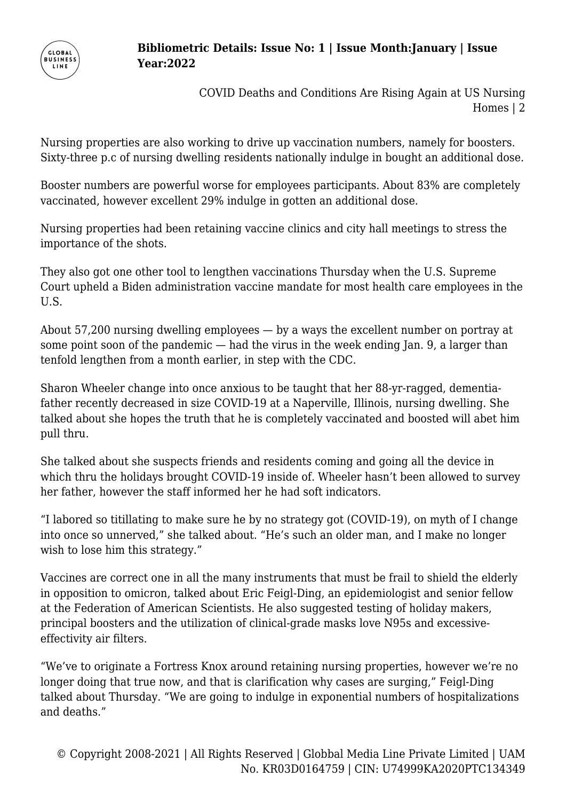

## **Bibliometric Details: Issue No: 1 | Issue Month:January | Issue Year:2022**

COVID Deaths and Conditions Are Rising Again at US Nursing Homes | 2

Nursing properties are also working to drive up vaccination numbers, namely for boosters. Sixty-three p.c of nursing dwelling residents nationally indulge in bought an additional dose.

Booster numbers are powerful worse for employees participants. About 83% are completely vaccinated, however excellent 29% indulge in gotten an additional dose.

Nursing properties had been retaining vaccine clinics and city hall meetings to stress the importance of the shots.

They also got one other tool to lengthen vaccinations Thursday when the U.S. Supreme Court upheld a Biden administration vaccine mandate for most health care employees in the U.S.

About 57,200 nursing dwelling employees — by a ways the excellent number on portray at some point soon of the pandemic — had the virus in the week ending Jan. 9, a larger than tenfold lengthen from a month earlier, in step with the CDC.

Sharon Wheeler change into once anxious to be taught that her 88-yr-ragged, dementiafather recently decreased in size COVID-19 at a Naperville, Illinois, nursing dwelling. She talked about she hopes the truth that he is completely vaccinated and boosted will abet him pull thru.

She talked about she suspects friends and residents coming and going all the device in which thru the holidays brought COVID-19 inside of. Wheeler hasn't been allowed to survey her father, however the staff informed her he had soft indicators.

"I labored so titillating to make sure he by no strategy got (COVID-19), on myth of I change into once so unnerved," she talked about. "He's such an older man, and I make no longer wish to lose him this strategy."

Vaccines are correct one in all the many instruments that must be frail to shield the elderly in opposition to omicron, talked about Eric Feigl-Ding, an epidemiologist and senior fellow at the Federation of American Scientists. He also suggested testing of holiday makers, principal boosters and the utilization of clinical-grade masks love N95s and excessiveeffectivity air filters.

"We've to originate a Fortress Knox around retaining nursing properties, however we're no longer doing that true now, and that is clarification why cases are surging," Feigl-Ding talked about Thursday. "We are going to indulge in exponential numbers of hospitalizations and deaths."